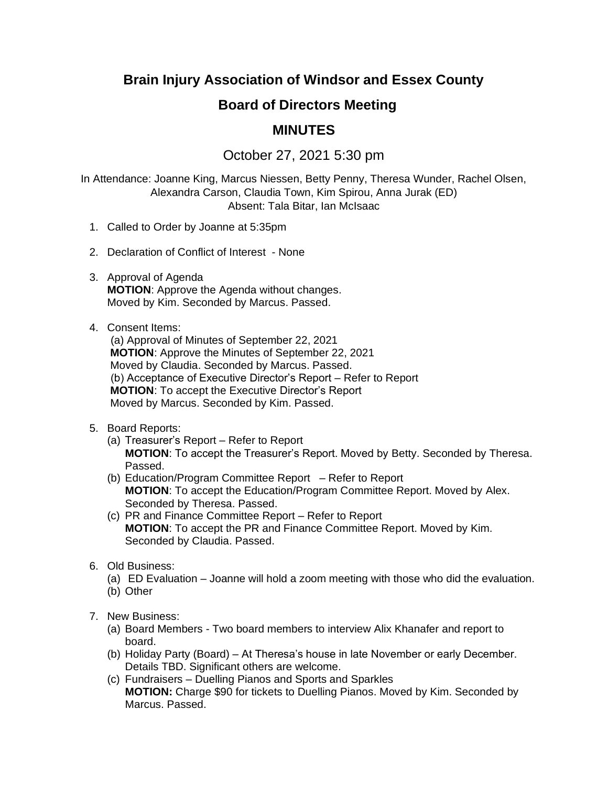# **Brain Injury Association of Windsor and Essex County**

## **Board of Directors Meeting**

## **MINUTES**

## October 27, 2021 5:30 pm

In Attendance: Joanne King, Marcus Niessen, Betty Penny, Theresa Wunder, Rachel Olsen, Alexandra Carson, Claudia Town, Kim Spirou, Anna Jurak (ED) Absent: Tala Bitar, Ian McIsaac

- 1. Called to Order by Joanne at 5:35pm
- 2. Declaration of Conflict of Interest None
- 3. Approval of Agenda **MOTION**: Approve the Agenda without changes. Moved by Kim. Seconded by Marcus. Passed.

#### 4. Consent Items:

(a) Approval of Minutes of September 22, 2021 **MOTION**: Approve the Minutes of September 22, 2021 Moved by Claudia. Seconded by Marcus. Passed. (b) Acceptance of Executive Director's Report – Refer to Report **MOTION**: To accept the Executive Director's Report Moved by Marcus. Seconded by Kim. Passed.

### 5. Board Reports:

- (a) Treasurer's Report Refer to Report **MOTION**: To accept the Treasurer's Report. Moved by Betty. Seconded by Theresa. Passed.
- (b) Education/Program Committee Report Refer to Report **MOTION**: To accept the Education/Program Committee Report. Moved by Alex. Seconded by Theresa. Passed.
- (c) PR and Finance Committee Report Refer to Report **MOTION**: To accept the PR and Finance Committee Report. Moved by Kim. Seconded by Claudia. Passed.
- 6. Old Business:
	- (a) ED Evaluation Joanne will hold a zoom meeting with those who did the evaluation. (b) Other
	-
- 7. New Business:
	- (a) Board Members Two board members to interview Alix Khanafer and report to board.
	- (b) Holiday Party (Board) At Theresa's house in late November or early December. Details TBD. Significant others are welcome.
	- (c) Fundraisers Duelling Pianos and Sports and Sparkles **MOTION:** Charge \$90 for tickets to Duelling Pianos. Moved by Kim. Seconded by Marcus. Passed.